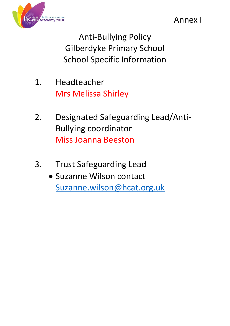

Annex I

Anti-Bullying Policy Gilberdyke Primary School School Specific Information

- 1. Headteacher Mrs Melissa Shirley
- 2. Designated Safeguarding Lead/Anti-Bullying coordinator Miss Joanna Beeston
- 3. Trust Safeguarding Lead
	- Suzanne Wilson contact [Suzanne.wilson@hcat.org.uk](mailto:Swilson@hcat.org.uk)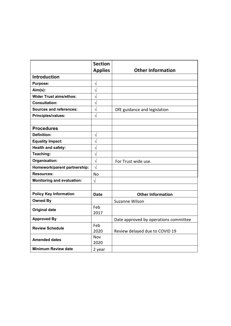|                                   | <b>Section</b>        |                                       |
|-----------------------------------|-----------------------|---------------------------------------|
|                                   | <b>Applies</b>        | <b>Other Information</b>              |
| <b>Introduction</b>               |                       |                                       |
| <b>Purpose:</b>                   | $\sqrt{}$             |                                       |
| $Aim(s)$ :                        | $\sqrt{}$             |                                       |
| <b>Wider Trust aims/ethos:</b>    | $\sqrt{}$             |                                       |
| <b>Consultation:</b>              | $\sqrt{}$             |                                       |
| <b>Sources and references:</b>    | $\overline{\sqrt{2}}$ | DfE guidance and legislation          |
| Principles/values:                | $\sqrt{ }$            |                                       |
|                                   |                       |                                       |
| <b>Procedures</b>                 |                       |                                       |
| <b>Definition:</b>                | N                     |                                       |
| <b>Equality Impact:</b>           | $\sqrt{}$             |                                       |
| <b>Health and safety:</b>         | $\sqrt{}$             |                                       |
| Teaching:                         | $\sqrt{}$             |                                       |
| Organisation:                     | $\overline{\sqrt{2}}$ | For Trust wide use.                   |
| Homework/parent partnership:      | $\sqrt{ }$            |                                       |
| <b>Resources:</b>                 | <b>No</b>             |                                       |
| <b>Monitoring and evaluation:</b> | $\sqrt{ }$            |                                       |
|                                   |                       |                                       |
| <b>Policy Key Information</b>     | <b>Date</b>           | <b>Other Information</b>              |
| <b>Owned By</b>                   |                       | Suzanne Wilson                        |
| <b>Original date</b>              | Feb                   |                                       |
|                                   | 2017                  |                                       |
| <b>Approved By</b>                |                       | Date approved by operations committee |
| <b>Review Schedule</b>            | Feb                   |                                       |
|                                   | 2020                  | Review delayed due to COVID 19        |
| <b>Amended dates</b>              | Nov                   |                                       |
|                                   | 2020                  |                                       |
| <b>Minimum Review date</b>        | 2 year                |                                       |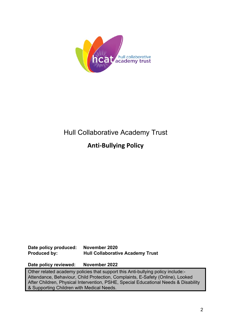

# Hull Collaborative Academy Trust

## **Anti-Bullying Policy**

## **Date policy produced: November 2020 Produced by: Hull Collaborative Academy Trust**

**Date policy reviewed: November 2022** 

Other related academy policies that support this Anti-bullying policy include:- Attendance, Behaviour, Child Protection, Complaints, E-Safety (Online), Looked After Children, Physical Intervention, PSHE, Special Educational Needs & Disability & Supporting Children with Medical Needs.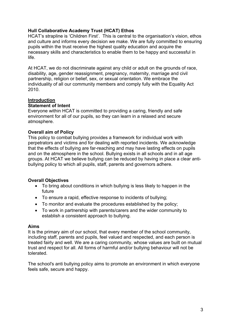## **Hull Collaborative Academy Trust (HCAT) Ethos**

HCAT's strapline is 'Children First'. This is central to the organisation's vision, ethos and culture and informs every decision we make. We are fully committed to ensuring pupils within the trust receive the highest quality education and acquire the necessary skills and characteristics to enable them to be happy and successful in life.

At HCAT, we do not discriminate against any child or adult on the grounds of race, disability, age, gender reassignment, pregnancy, maternity, marriage and civil partnership, religion or belief, sex, or sexual orientation. We embrace the individuality of all our community members and comply fully with the Equality Act 2010.

#### **Introduction**

#### **Statement of Intent**

Everyone within HCAT is committed to providing a caring, friendly and safe environment for all of our pupils, so they can learn in a relaxed and secure atmosphere.

#### **Overall aim of Policy**

This policy to combat bullying provides a framework for individual work with perpetrators and victims and for dealing with reported incidents. We acknowledge that the effects of bullying are far-reaching and may have lasting effects on pupils and on the atmosphere in the school. Bullying exists in all schools and in all age groups. At HCAT we believe bullying can be reduced by having in place a clear antibullying policy to which all pupils, staff, parents and governors adhere.

#### **Overall Objectives**

- To bring about conditions in which bullying is less likely to happen in the future
- To ensure a rapid, effective response to incidents of bullying;
- To monitor and evaluate the procedures established by the policy;
- To work in partnership with parents/carers and the wider community to establish a consistent approach to bullying.

#### **Aims**

It is the primary aim of our school, that every member of the school community, including staff, parents and pupils, feel valued and respected, and each person is treated fairly and well. We are a caring community, whose values are built on mutual trust and respect for all. All forms of harmful and/or bullying behaviour will not be tolerated.

The school's anti bullying policy aims to promote an environment in which everyone feels safe, secure and happy.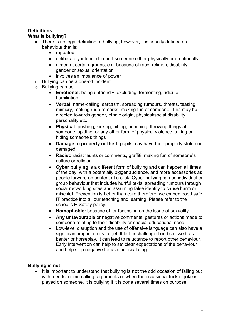## **Definitions**

## **What is bullying?**

- There is no legal definition of bullying, however, it is usually defined as behaviour that is:
	- repeated
	- deliberately intended to hurt someone either physically or emotionally
	- aimed at certain groups, e.g. because of race, religion, disability, gender or sexual orientation
	- involves an imbalance of power
- o Bullying can be a one-off incident.
- o Bullying can be:
	- **Emotional:** being unfriendly, excluding, tormenting, ridicule, humiliation
	- **Verbal:** name-calling, sarcasm, spreading rumours, threats, teasing, mimicry, making rude remarks, making fun of someone. This may be directed towards gender, ethnic origin, physical/social disability, personality etc.
	- **Physical:** pushing, kicking, hitting, punching, throwing things at someone, spitting, or any other form of physical violence, taking or hiding someone's things
	- **Damage to property or theft:** pupils may have their property stolen or damaged
	- **Racist:** racist taunts or comments, graffiti, making fun of someone's culture or religion
	- **Cyber bullying** is a different form of bullying and can happen all times of the day, with a potentially bigger audience, and more accessories as people forward on content at a click. Cyber bullying can be individual or group behaviour that includes hurtful texts, spreading rumours through social networking sites and assuming false identity to cause harm or mischief. Prevention is better than cure therefore; we embed good safe IT practice into all our teaching and learning. Please refer to the school's E-Safety policy.
	- **Homophobic:** because of, or focussing on the issue of sexuality
	- **Any unfavourable** or negative comments, gestures or actions made to someone relating to their disability or special educational need.
	- Low-level disruption and the use of offensive language can also have a significant impact on its target. If left unchallenged or dismissed, as banter or horseplay, it can lead to reluctance to report other behaviour. Early intervention can help to set clear expectations of the behaviour and help stop negative behaviour escalating.

## **Bullying is not:**

• It is important to understand that bullying is **not** the odd occasion of falling out with friends, name calling, arguments or when the occasional trick or joke is played on someone. It is bullying if it is done several times on purpose.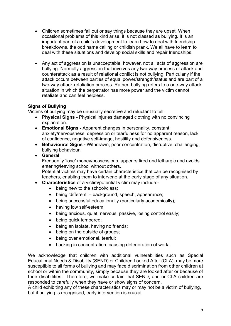- Children sometimes fall out or say things because they are upset. When occasional problems of this kind arise, it is not classed as bullying. It is an important part of a child's development to learn how to deal with friendship breakdowns, the odd name calling or childish prank. We all have to learn to deal with these situations and develop social skills and repair friendships.
- Any act of aggression is unacceptable, however, not all acts of aggression are bullying. Normally aggression that involves any two-way process of attack and counterattack as a result of relational conflict is not bullying. Particularly if the attack occurs between parties of equal power/strength/status and are part of a two-way attack retaliation process. Rather, bullying refers to a one-way attack situation in which the perpetrator has more power and the victim cannot retaliate and can feel helpless.

## **Signs of Bullying**

Victims of bullying may be unusually secretive and reluctant to tell.

- **Physical Signs -** Physical injuries damaged clothing with no convincing explanation.
- **Emotional Signs -** Apparent changes in personality, constant anxiety/nervousness, depression or tearfulness for no apparent reason, lack of confidence, negative self-image, hostility and defensiveness.
- **Behavioural Signs -** Withdrawn, poor concentration, disruptive, challenging, bullying behaviour.
- **General**

Frequently 'lose' money/possessions, appears tired and lethargic and avoids entering/leaving school without others.

Potential victims may have certain characteristics that can be recognised by teachers, enabling them to intervene at the early stage of any situation.

- **Characteristics** of a victim/potential victim may include:-
	- being new to the school/class;
	- being 'different' background, speech, appearance;
	- being successful educationally (particularly academically);
	- having low self-esteem:
	- being anxious, quiet, nervous, passive, losing control easily;
	- being quick tempered;
	- being an isolate, having no friends;
	- being on the outside of groups;
	- being over emotional, tearful;
	- Lacking in concentration, causing deterioration of work.

We acknowledge that children with additional vulnerabilities such as Special Educational Needs & Disability (SEND) or Children Looked After (CLA), may be more susceptible to all forms of bullying and may face discrimination from other children at school or within the community, simply because they are looked after or because of their disabilities. Therefore, we make certain that SEND, and or CLA children are responded to carefully when they have or show signs of concern.

A child exhibiting any of these characteristics may or may not be a victim of bullying, but if bullying is recognised, early intervention is crucial.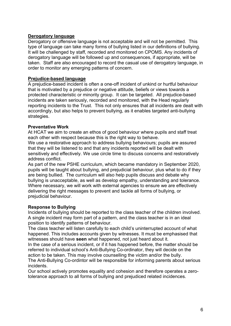#### **Derogatory language**

Derogatory or offensive language is not acceptable and will not be permitted. This type of language can take many forms of bullying listed in our definitions of bullying. It will be challenged by staff, recorded and monitored on CPOMS. Any incidents of derogatory language will be followed up and consequences, if appropriate, will be taken. Staff are also encouraged to record the casual use of derogatory language, in order to monitor any emerging patterns of concern.

#### **Prejudice-based language**

A prejudice-based incident is often a one-off incident of unkind or hurtful behaviour that is motivated by a prejudice or negative attitude, beliefs or views towards a protected characteristic or minority group. It can be targeted. All prejudice-based incidents are taken seriously, recorded and monitored, with the Head regularly reporting incidents to the Trust. This not only ensures that all incidents are dealt with accordingly, but also helps to prevent bullying, as it enables targeted anti-bullying strategies.

#### **Preventative Work**

At HCAT we aim to create an ethos of good behaviour where pupils and staff treat each other with respect because this is the right way to behave.

We use a restorative approach to address bullying behaviours; pupils are assured that they will be listened to and that any incidents reported will be dealt with sensitively and effectively. We use circle time to discuss concerns and restoratively address conflict.

As part of the new PSHE curriculum, which became mandatory in September 2020, pupils will be taught about bullying, and prejudicial behaviour, plus what to do if they are being bullied. The curriculum will also help pupils discuss and debate why bullying is unacceptable, as well as develop empathy, understanding and tolerance. Where necessary, we will work with external agencies to ensure we are effectively delivering the right messages to prevent and tackle all forms of bullying, or prejudicial behaviour.

#### **Response to Bullying**

Incidents of bullying should be reported to the class teacher of the children involved. A single incident may form part of a pattern, and the class teacher is in an ideal position to identify patterns of behaviour.

The class teacher will listen carefully to each child's uninterrupted account of what happened. This includes accounts given by witnesses. It must be emphasised that witnesses should have **seen** what happened, not just heard about it.

In the case of a serious incident, or if it has happened before, the matter should be referred to individual school's Anti-Bullying Co-ordinator, they will decide on the action to be taken. This may involve counselling the victim and/or the bully.

The Anti-Bullying Co-ordintor will be responsible for informing parents about serious incidents.

Our school actively promotes equality and cohesion and therefore operates a zerotolerance approach to all forms of bullying and prejudiced related incidences.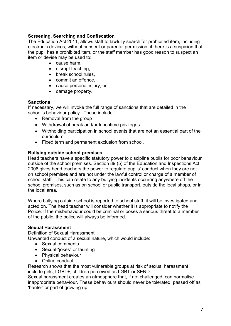#### **Screening, Searching and Confiscation**

The Education Act 2011, allows staff to lawfully search for prohibited item, including electronic devices, without consent or parental permission, if there is a suspicion that the pupil has a prohibited item, or the staff member has good reason to suspect an item or devise may be used to:

- cause harm,
- disrupt teaching,
- break school rules,
- commit an offence,
- cause personal injury, or
- damage property.

#### **Sanctions**

If necessary, we will invoke the full range of sanctions that are detailed in the school's behaviour policy. These include:

- Removal from the group
- Withdrawal of break and/or lunchtime privileges
- Withholding participation in school events that are not an essential part of the curriculum.
- Fixed term and permanent exclusion from school.

#### **Bullying outside school premises**

Head teachers have a specific statutory power to discipline pupils for poor behaviour outside of the school premises. Section 89 (5) of the Education and Inspections Act 2006 gives head teachers the power to regulate pupils' conduct when they are not on school premises and are not under the lawful control or charge of a member of school staff. This can relate to any bullying incidents occurring anywhere off the school premises, such as on school or public transport, outside the local shops, or in the local area.

Where bullying outside school is reported to school staff, it will be investigated and acted on. The head teacher will consider whether it is appropriate to notify the Police. If the misbehaviour could be criminal or poses a serious threat to a member of the public, the police will always be informed.

#### **Sexual Harassment**

#### Definition of Sexual Harassment

Unwanted conduct of a sexual nature, which would include:

- Sexual comments
- Sexual "jokes" or taunting
- Physical behaviour
- Online conduct

Research shows that the most vulnerable groups at risk of sexual harassment include girls, LGBT+, children perceived as LGBT or SEND.

Sexual harassment creates an atmosphere that, if not challenged, can normalise inappropriate behaviour. These behaviours should never be tolerated, passed off as 'banter' or part of growing up.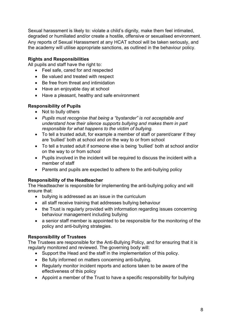Sexual harassment is likely to: violate a child's dignity, make them feel intimated, degraded or humiliated and/or create a hostile, offensive or sexualised environment. Any reports of Sexual Harassment at any HCAT school will be taken seriously, and the academy will utilise appropriate sanctions, as outlined in the behaviour policy.

## **Rights and Responsibilities**

All pupils and staff have the right to:

- Feel safe, cared for and respected
- Be valued and treated with respect
- Be free from threat and intimidation
- Have an enjoyable day at school
- Have a pleasant, healthy and safe environment

## **Responsibility of Pupils**

- Not to bully others
- *Pupils must recognise that being a "bystander" is not acceptable and understand how their silence supports bullying and makes them in part responsible for what happens to the victim of bullying.*
- To tell a trusted adult, for example a member of staff or parent/carer if they are 'bullied' both at school and on the way to or from school
- To tell a trusted adult if someone else is being 'bullied' both at school and/or on the way to or from school
- Pupils involved in the incident will be required to discuss the incident with a member of staff
- Parents and pupils are expected to adhere to the anti-bullying policy

## **Responsibility of the Headteacher**

The Headteacher is responsible for implementing the anti-bullying policy and will ensure that:

- bullying is addressed as an issue in the curriculum
- all staff receive training that addresses bullying behaviour
- the Trust is regularly provided with information regarding issues concerning behaviour management including bullying
- a senior staff member is appointed to be responsible for the monitoring of the policy and anti-bullying strategies.

#### **Responsibility of Trustees**

The Trustees are responsible for the Anti-Bullying Policy, and for ensuring that it is regularly monitored and reviewed. The governing body will:

- Support the Head and the staff in the implementation of this policy.
- Be fully informed on matters concerning anti-bullying.
- Regularly monitor incident reports and actions taken to be aware of the effectiveness of this policy
- Appoint a member of the Trust to have a specific responsibility for bullying